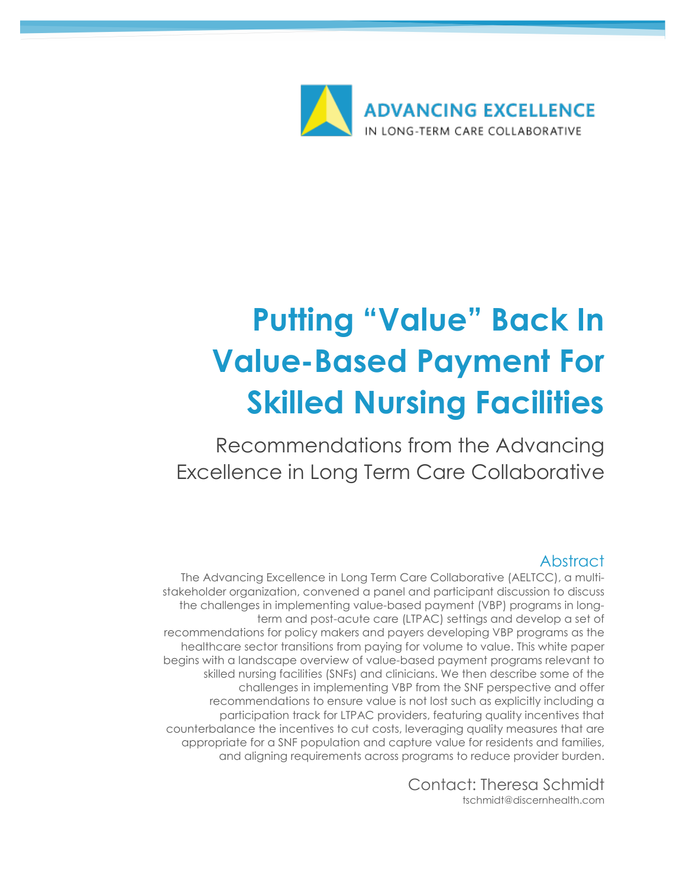

# **Putting "Value" Back In Value-Based Payment For Skilled Nursing Facilities**

Recommendations from the Advancing Excellence in Long Term Care Collaborative

## Abstract

The Advancing Excellence in Long Term Care Collaborative (AELTCC), a multistakeholder organization, convened a panel and participant discussion to discuss the challenges in implementing value-based payment (VBP) programs in longterm and post-acute care (LTPAC) settings and develop a set of recommendations for policy makers and payers developing VBP programs as the healthcare sector transitions from paying for volume to value. This white paper begins with a landscape overview of value-based payment programs relevant to skilled nursing facilities (SNFs) and clinicians. We then describe some of the challenges in implementing VBP from the SNF perspective and offer recommendations to ensure value is not lost such as explicitly including a participation track for LTPAC providers, featuring quality incentives that counterbalance the incentives to cut costs, leveraging quality measures that are appropriate for a SNF population and capture value for residents and families, and aligning requirements across programs to reduce provider burden.

> Contact: Theresa Schmidt tschmidt@discernhealth.com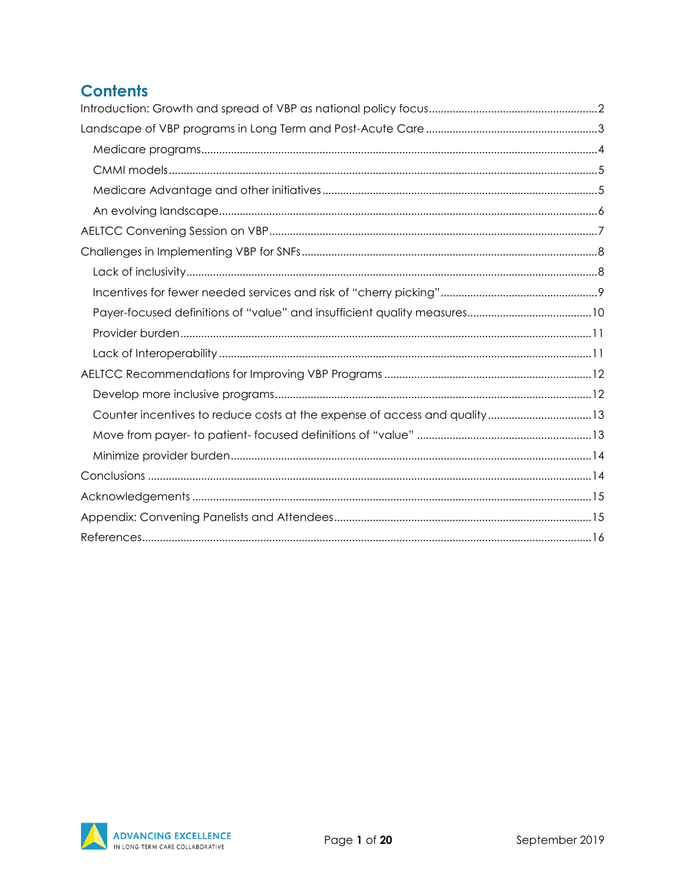# **Contents**

| Counter incentives to reduce costs at the expense of access and quality13 |  |
|---------------------------------------------------------------------------|--|
|                                                                           |  |
|                                                                           |  |
|                                                                           |  |
|                                                                           |  |
|                                                                           |  |
|                                                                           |  |

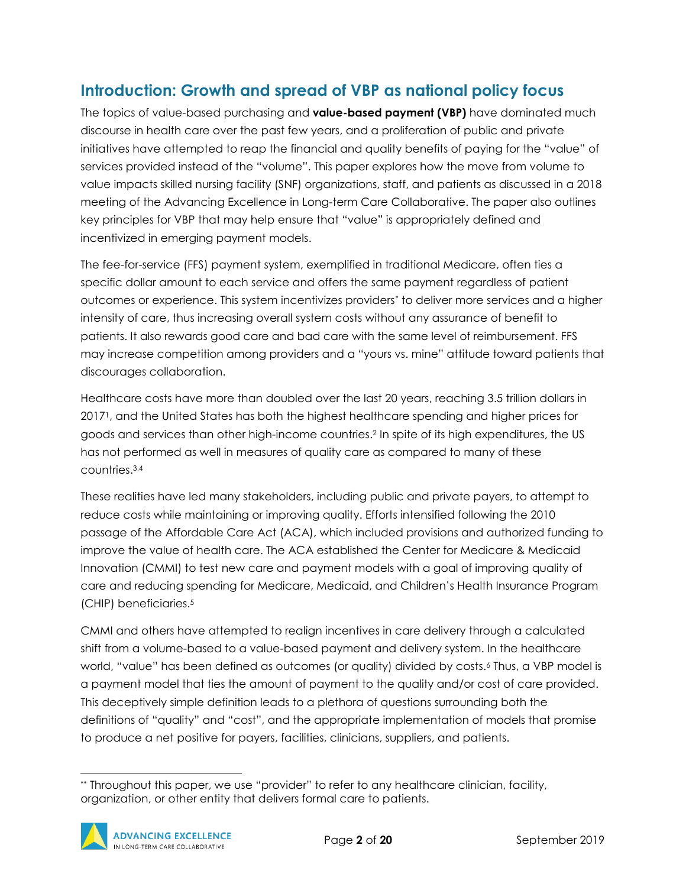## <span id="page-2-0"></span>**Introduction: Growth and spread of VBP as national policy focus**

The topics of value-based purchasing and **value-based payment (VBP)** have dominated much discourse in health care over the past few years, and a proliferation of public and private initiatives have attempted to reap the financial and quality benefits of paying for the "value" of services provided instead of the "volume". This paper explores how the move from volume to value impacts skilled nursing facility (SNF) organizations, staff, and patients as discussed in a 2018 meeting of the Advancing Excellence in Long-term Care Collaborative. The paper also outlines key principles for VBP that may help ensure that "value" is appropriately defined and incentivized in emerging payment models.

The fee-for-service (FFS) payment system, exemplified in traditional Medicare, often ties a specific dollar amount to each service and offers the same payment regardless of patient outcomes or experience. This system incentivizes providers[\\*](#page-2-1) to deliver more services and a higher intensity of care, thus increasing overall system costs without any assurance of benefit to patients. It also rewards good care and bad care with the same level of reimbursement. FFS may increase competition among providers and a "yours vs. mine" attitude toward patients that discourages collaboration.

Healthcare costs have more than doubled over the last 20 years, reaching 3.5 trillion dollars in 20171, and the United States has both the highest healthcare spending and higher prices for goods and services than other high-income countries.2 In spite of its high expenditures, the US has not performed as well in measures of quality care as compared to many of these countries.3,4

These realities have led many stakeholders, including public and private payers, to attempt to reduce costs while maintaining or improving quality. Efforts intensified following the 2010 passage of the Affordable Care Act (ACA), which included provisions and authorized funding to improve the value of health care. The ACA established the Center for Medicare & Medicaid Innovation (CMMI) to test new care and payment models with a goal of improving quality of care and reducing spending for Medicare, Medicaid, and Children's Health Insurance Program (CHIP) beneficiaries.5

CMMI and others have attempted to realign incentives in care delivery through a calculated shift from a volume-based to a value-based payment and delivery system. In the healthcare world, "value" has been defined as outcomes (or quality) divided by costs.6 Thus, a VBP model is a payment model that ties the amount of payment to the quality and/or cost of care provided. This deceptively simple definition leads to a plethora of questions surrounding both the definitions of "quality" and "cost", and the appropriate implementation of models that promise to produce a net positive for payers, facilities, clinicians, suppliers, and patients.

<span id="page-2-1"></span> <sup>\*\*</sup> Throughout this paper, we use "provider" to refer to any healthcare clinician, facility, organization, or other entity that delivers formal care to patients.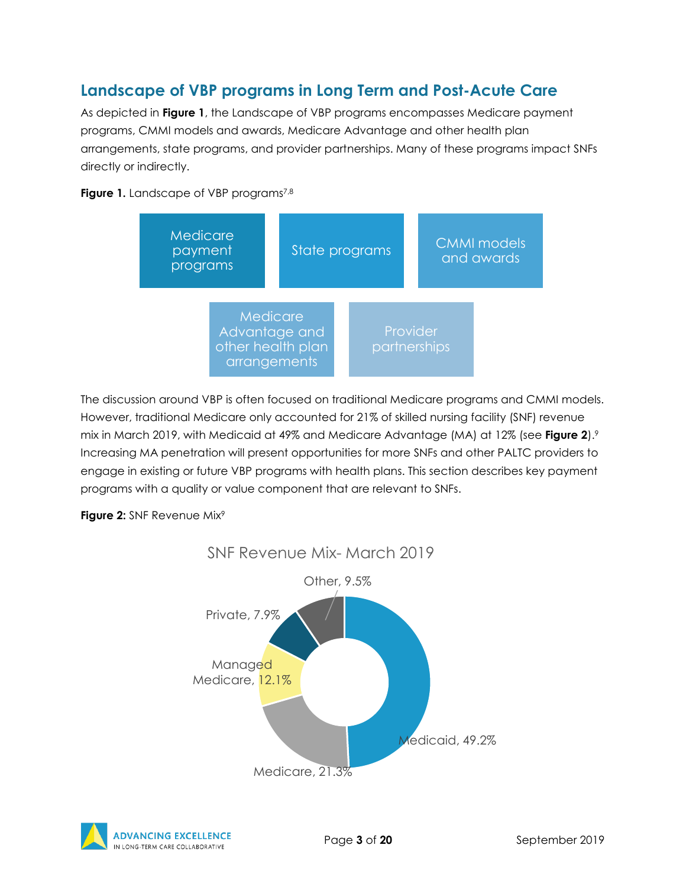## <span id="page-3-0"></span>**Landscape of VBP programs in Long Term and Post-Acute Care**

As depicted in **Figure 1**, the Landscape of VBP programs encompasses Medicare payment programs, CMMI models and awards, Medicare Advantage and other health plan arrangements, state programs, and provider partnerships. Many of these programs impact SNFs directly or indirectly.

#### **Figure 1.** Landscape of VBP programs<sup>7,8</sup>



The discussion around VBP is often focused on traditional Medicare programs and CMMI models. However, traditional Medicare only accounted for 21% of skilled nursing facility (SNF) revenue mix in March 2019, with Medicaid at 49% and Medicare Advantage (MA) at 12% (see **Figure 2**).9 Increasing MA penetration will present opportunities for more SNFs and other PALTC providers to engage in existing or future VBP programs with health plans. This section describes key payment programs with a quality or value component that are relevant to SNFs.

#### **Figure 2: SNF Revenue Mix<sup>9</sup>**





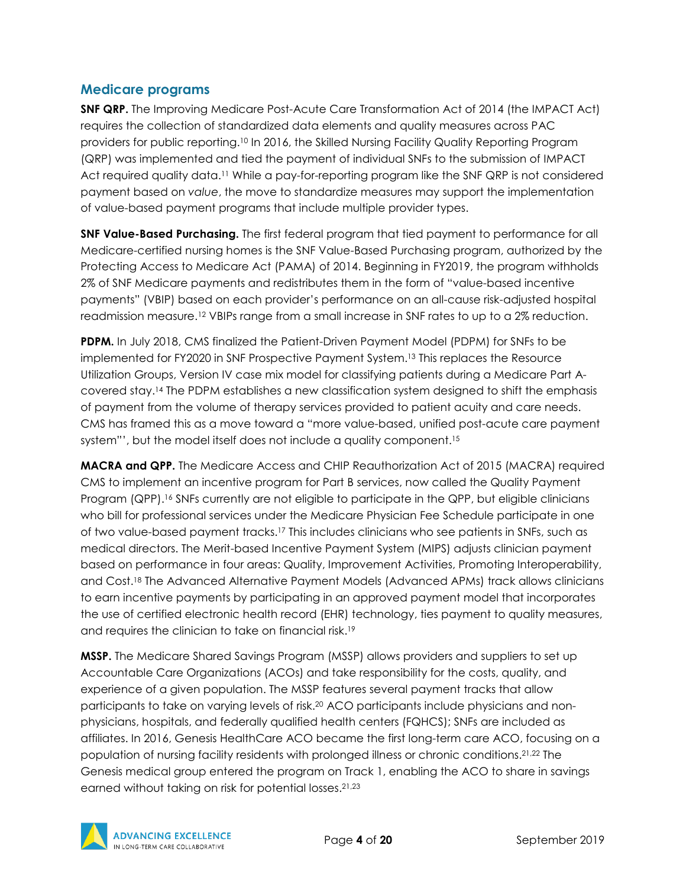#### <span id="page-4-0"></span>**Medicare programs**

**SNF QRP.** The Improving Medicare Post-Acute Care Transformation Act of 2014 (the IMPACT Act) requires the collection of standardized data elements and quality measures across PAC providers for public reporting.10 In 2016, the Skilled Nursing Facility Quality Reporting Program (QRP) was implemented and tied the payment of individual SNFs to the submission of IMPACT Act required quality data.<sup>11</sup> While a pay-for-reporting program like the SNF QRP is not considered payment based on *value*, the move to standardize measures may support the implementation of value-based payment programs that include multiple provider types.

**SNF Value-Based Purchasing.** The first federal program that tied payment to performance for all Medicare-certified nursing homes is the SNF Value-Based Purchasing program, authorized by the Protecting Access to Medicare Act (PAMA) of 2014. Beginning in FY2019, the program withholds 2% of SNF Medicare payments and redistributes them in the form of "value-based incentive payments" (VBIP) based on each provider's performance on an all-cause risk-adjusted hospital readmission measure.<sup>12</sup> VBIPs range from a small increase in SNF rates to up to a 2% reduction.

**PDPM.** In July 2018, CMS finalized the Patient-Driven Payment Model (PDPM) for SNFs to be implemented for FY2020 in SNF Prospective Payment System.13 This replaces the Resource Utilization Groups, Version IV case mix model for classifying patients during a Medicare Part Acovered stay.14 The PDPM establishes a new classification system designed to shift the emphasis of payment from the volume of therapy services provided to patient acuity and care needs. CMS has framed this as a move toward a "more value-based, unified post-acute care payment system"', but the model itself does not include a quality component.<sup>15</sup>

**MACRA and QPP.** The Medicare Access and CHIP Reauthorization Act of 2015 (MACRA) required CMS to implement an incentive program for Part B services, now called the Quality Payment Program (QPP).<sup>16</sup> SNFs currently are not eligible to participate in the QPP, but eligible clinicians who bill for professional services under the Medicare Physician Fee Schedule participate in one of two value-based payment tracks.17 This includes clinicians who see patients in SNFs, such as medical directors. The Merit-based Incentive Payment System (MIPS) adjusts clinician payment based on performance in four areas: Quality, Improvement Activities, Promoting Interoperability, and Cost.18 The Advanced Alternative Payment Models (Advanced APMs) track allows clinicians to earn incentive payments by participating in an approved payment model that incorporates the use of certified electronic health record (EHR) technology, ties payment to quality measures, and requires the clinician to take on financial risk.19

**MSSP.** The Medicare Shared Savings Program (MSSP) allows providers and suppliers to set up Accountable Care Organizations (ACOs) and take responsibility for the costs, quality, and experience of a given population. The MSSP features several payment tracks that allow participants to take on varying levels of risk.20 ACO participants include physicians and nonphysicians, hospitals, and federally qualified health centers (FQHCS); SNFs are included as affiliates. In 2016, Genesis HealthCare ACO became the first long-term care ACO, focusing on a population of nursing facility residents with prolonged illness or chronic conditions.21,22 The Genesis medical group entered the program on Track 1, enabling the ACO to share in savings earned without taking on risk for potential losses.21,23

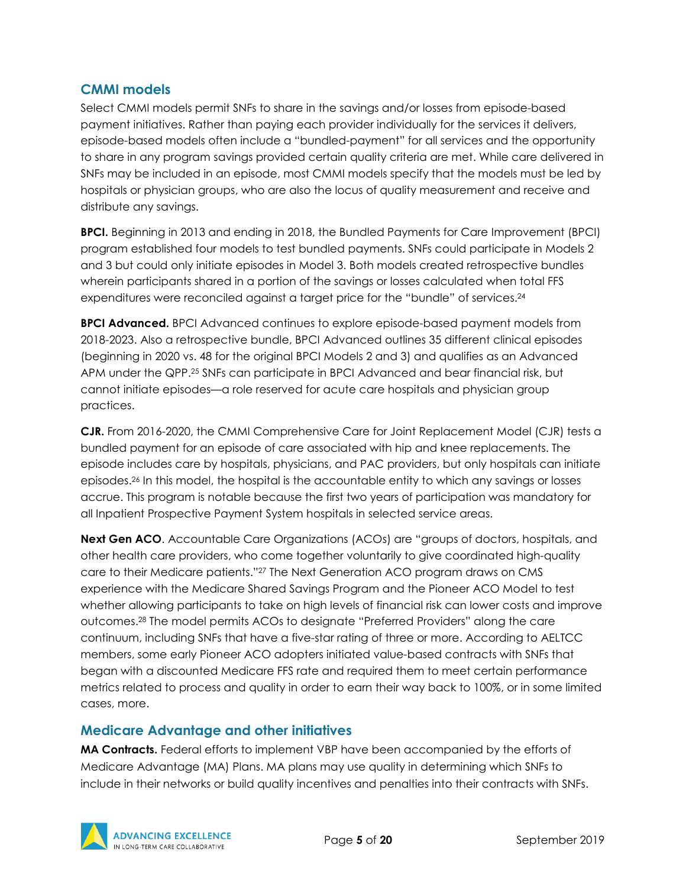#### <span id="page-5-0"></span>**CMMI models**

Select CMMI models permit SNFs to share in the savings and/or losses from episode-based payment initiatives. Rather than paying each provider individually for the services it delivers, episode-based models often include a "bundled-payment" for all services and the opportunity to share in any program savings provided certain quality criteria are met. While care delivered in SNFs may be included in an episode, most CMMI models specify that the models must be led by hospitals or physician groups, who are also the locus of quality measurement and receive and distribute any savings.

**BPCI.** Beginning in 2013 and ending in 2018, the Bundled Payments for Care Improvement (BPCI) program established four models to test bundled payments. SNFs could participate in Models 2 and 3 but could only initiate episodes in Model 3. Both models created retrospective bundles wherein participants shared in a portion of the savings or losses calculated when total FFS expenditures were reconciled against a target price for the "bundle" of services.<sup>24</sup>

**BPCI Advanced.** BPCI Advanced continues to explore episode-based payment models from 2018-2023. Also a retrospective bundle, BPCI Advanced outlines 35 different clinical episodes (beginning in 2020 vs. 48 for the original BPCI Models 2 and 3) and qualifies as an Advanced APM under the QPP.<sup>25</sup> SNFs can participate in BPCI Advanced and bear financial risk, but cannot initiate episodes—a role reserved for acute care hospitals and physician group practices.

**CJR.** From 2016-2020, the CMMI Comprehensive Care for Joint Replacement Model (CJR) tests a bundled payment for an episode of care associated with hip and knee replacements. The episode includes care by hospitals, physicians, and PAC providers, but only hospitals can initiate episodes.26 In this model, the hospital is the accountable entity to which any savings or losses accrue. This program is notable because the first two years of participation was mandatory for all Inpatient Prospective Payment System hospitals in selected service areas.

**Next Gen ACO**. Accountable Care Organizations (ACOs) are "groups of doctors, hospitals, and other health care providers, who come together voluntarily to give coordinated high-quality care to their Medicare patients."27 The Next Generation ACO program draws on CMS experience with the Medicare Shared Savings Program and the Pioneer ACO Model to test whether allowing participants to take on high levels of financial risk can lower costs and improve outcomes.28 The model permits ACOs to designate "Preferred Providers" along the care continuum, including SNFs that have a five-star rating of three or more. According to AELTCC members, some early Pioneer ACO adopters initiated value-based contracts with SNFs that began with a discounted Medicare FFS rate and required them to meet certain performance metrics related to process and quality in order to earn their way back to 100%, or in some limited cases, more.

#### <span id="page-5-1"></span>**Medicare Advantage and other initiatives**

**MA Contracts.** Federal efforts to implement VBP have been accompanied by the efforts of Medicare Advantage (MA) Plans. MA plans may use quality in determining which SNFs to include in their networks or build quality incentives and penalties into their contracts with SNFs.

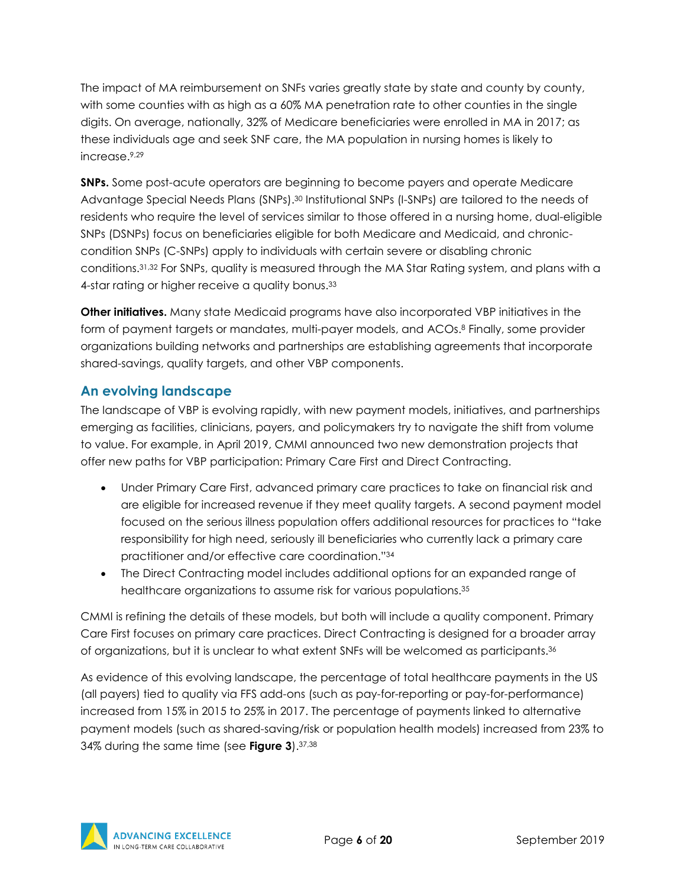The impact of MA reimbursement on SNFs varies greatly state by state and county by county, with some counties with as high as a 60% MA penetration rate to other counties in the single digits. On average, nationally, 32% of Medicare beneficiaries were enrolled in MA in 2017; as these individuals age and seek SNF care, the MA population in nursing homes is likely to increase.9,29

**SNPs.** Some post-acute operators are beginning to become payers and operate Medicare Advantage Special Needs Plans (SNPs).<sup>30</sup> Institutional SNPs (I-SNPs) are tailored to the needs of residents who require the level of services similar to those offered in a nursing home, dual-eligible SNPs (DSNPs) focus on beneficiaries eligible for both Medicare and Medicaid, and chroniccondition SNPs (C-SNPs) apply to individuals with certain severe or disabling chronic conditions.31,32 For SNPs, quality is measured through the MA Star Rating system, and plans with a 4-star rating or higher receive a quality bonus.<sup>33</sup>

**Other initiatives.** Many state Medicaid programs have also incorporated VBP initiatives in the form of payment targets or mandates, multi-payer models, and ACOs.<sup>8</sup> Finally, some provider organizations building networks and partnerships are establishing agreements that incorporate shared-savings, quality targets, and other VBP components.

### <span id="page-6-0"></span>**An evolving landscape**

The landscape of VBP is evolving rapidly, with new payment models, initiatives, and partnerships emerging as facilities, clinicians, payers, and policymakers try to navigate the shift from volume to value. For example, in April 2019, CMMI announced two new demonstration projects that offer new paths for VBP participation: Primary Care First and Direct Contracting.

- Under Primary Care First, advanced primary care practices to take on financial risk and are eligible for increased revenue if they meet quality targets. A second payment model focused on the serious illness population offers additional resources for practices to "take responsibility for high need, seriously ill beneficiaries who currently lack a primary care practitioner and/or effective care coordination."34
- The Direct Contracting model includes additional options for an expanded range of healthcare organizations to assume risk for various populations.35

CMMI is refining the details of these models, but both will include a quality component. Primary Care First focuses on primary care practices. Direct Contracting is designed for a broader array of organizations, but it is unclear to what extent SNFs will be welcomed as participants.36

As evidence of this evolving landscape, the percentage of total healthcare payments in the US (all payers) tied to quality via FFS add-ons (such as pay-for-reporting or pay-for-performance) increased from 15% in 2015 to 25% in 2017. The percentage of payments linked to alternative payment models (such as shared-saving/risk or population health models) increased from 23% to 34% during the same time (see **Figure 3**).37,38

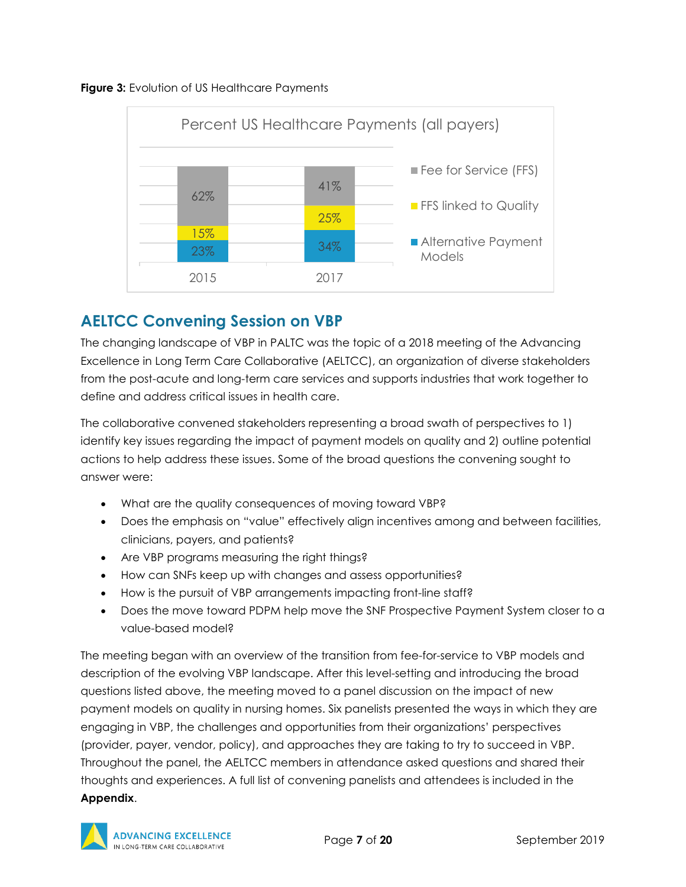



## <span id="page-7-0"></span>**AELTCC Convening Session on VBP**

The changing landscape of VBP in PALTC was the topic of a 2018 meeting of the Advancing Excellence in Long Term Care Collaborative (AELTCC), an organization of diverse stakeholders from the post-acute and long-term care services and supports industries that work together to define and address critical issues in health care.

The collaborative convened stakeholders representing a broad swath of perspectives to 1) identify key issues regarding the impact of payment models on quality and 2) outline potential actions to help address these issues. Some of the broad questions the convening sought to answer were:

- What are the quality consequences of moving toward VBP?
- Does the emphasis on "value" effectively align incentives among and between facilities, clinicians, payers, and patients?
- Are VBP programs measuring the right things?
- How can SNFs keep up with changes and assess opportunities?
- How is the pursuit of VBP arrangements impacting front-line staff?
- Does the move toward PDPM help move the SNF Prospective Payment System closer to a value-based model?

The meeting began with an overview of the transition from fee-for-service to VBP models and description of the evolving VBP landscape. After this level-setting and introducing the broad questions listed above, the meeting moved to a panel discussion on the impact of new payment models on quality in nursing homes. Six panelists presented the ways in which they are engaging in VBP, the challenges and opportunities from their organizations' perspectives (provider, payer, vendor, policy), and approaches they are taking to try to succeed in VBP. Throughout the panel, the AELTCC members in attendance asked questions and shared their thoughts and experiences. A full list of convening panelists and attendees is included in the **Appendix**.

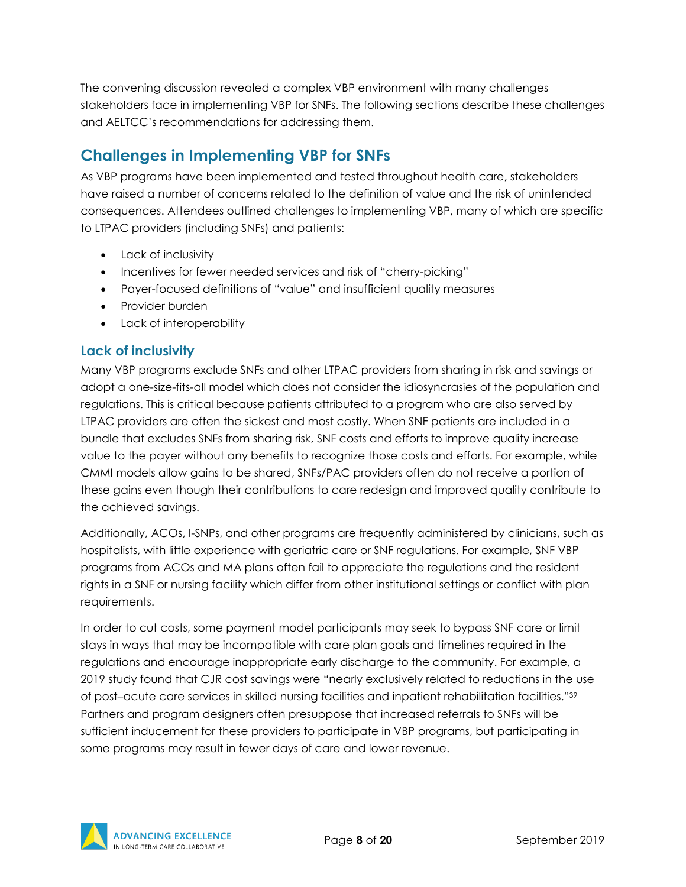The convening discussion revealed a complex VBP environment with many challenges stakeholders face in implementing VBP for SNFs. The following sections describe these challenges and AELTCC's recommendations for addressing them.

## <span id="page-8-0"></span>**Challenges in Implementing VBP for SNFs**

As VBP programs have been implemented and tested throughout health care, stakeholders have raised a number of concerns related to the definition of value and the risk of unintended consequences. Attendees outlined challenges to implementing VBP, many of which are specific to LTPAC providers (including SNFs) and patients:

- Lack of inclusivity
- Incentives for fewer needed services and risk of "cherry-picking"
- Payer-focused definitions of "value" and insufficient quality measures
- Provider burden
- Lack of interoperability

#### <span id="page-8-1"></span>**Lack of inclusivity**

Many VBP programs exclude SNFs and other LTPAC providers from sharing in risk and savings or adopt a one-size-fits-all model which does not consider the idiosyncrasies of the population and regulations. This is critical because patients attributed to a program who are also served by LTPAC providers are often the sickest and most costly. When SNF patients are included in a bundle that excludes SNFs from sharing risk, SNF costs and efforts to improve quality increase value to the payer without any benefits to recognize those costs and efforts. For example, while CMMI models allow gains to be shared, SNFs/PAC providers often do not receive a portion of these gains even though their contributions to care redesign and improved quality contribute to the achieved savings.

Additionally, ACOs, I-SNPs, and other programs are frequently administered by clinicians, such as hospitalists, with little experience with geriatric care or SNF regulations. For example, SNF VBP programs from ACOs and MA plans often fail to appreciate the regulations and the resident rights in a SNF or nursing facility which differ from other institutional settings or conflict with plan requirements.

In order to cut costs, some payment model participants may seek to bypass SNF care or limit stays in ways that may be incompatible with care plan goals and timelines required in the regulations and encourage inappropriate early discharge to the community. For example, a 2019 study found that CJR cost savings were "nearly exclusively related to reductions in the use of post–acute care services in skilled nursing facilities and inpatient rehabilitation facilities."39 Partners and program designers often presuppose that increased referrals to SNFs will be sufficient inducement for these providers to participate in VBP programs, but participating in some programs may result in fewer days of care and lower revenue.

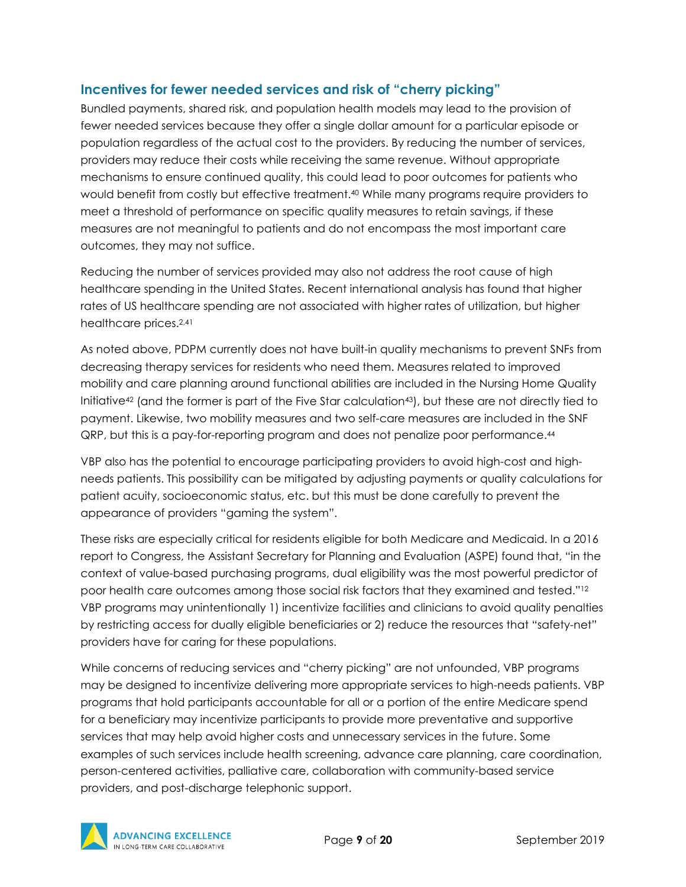#### <span id="page-9-0"></span>**Incentives for fewer needed services and risk of "cherry picking"**

Bundled payments, shared risk, and population health models may lead to the provision of fewer needed services because they offer a single dollar amount for a particular episode or population regardless of the actual cost to the providers. By reducing the number of services, providers may reduce their costs while receiving the same revenue. Without appropriate mechanisms to ensure continued quality, this could lead to poor outcomes for patients who would benefit from costly but effective treatment.40 While many programs require providers to meet a threshold of performance on specific quality measures to retain savings, if these measures are not meaningful to patients and do not encompass the most important care outcomes, they may not suffice.

Reducing the number of services provided may also not address the root cause of high healthcare spending in the United States. Recent international analysis has found that higher rates of US healthcare spending are not associated with higher rates of utilization, but higher healthcare prices.2,41

As noted above, PDPM currently does not have built-in quality mechanisms to prevent SNFs from decreasing therapy services for residents who need them. Measures related to improved mobility and care planning around functional abilities are included in the Nursing Home Quality Initiative42 (and the former is part of the Five Star calculation43), but these are not directly tied to payment. Likewise, two mobility measures and two self-care measures are included in the SNF QRP, but this is a pay-for-reporting program and does not penalize poor performance.44

VBP also has the potential to encourage participating providers to avoid high-cost and highneeds patients. This possibility can be mitigated by adjusting payments or quality calculations for patient acuity, socioeconomic status, etc. but this must be done carefully to prevent the appearance of providers "gaming the system".

These risks are especially critical for residents eligible for both Medicare and Medicaid. In a 2016 report to Congress, the Assistant Secretary for Planning and Evaluation (ASPE) found that, "in the context of value-based purchasing programs, dual eligibility was the most powerful predictor of poor health care outcomes among those social risk factors that they examined and tested."12 VBP programs may unintentionally 1) incentivize facilities and clinicians to avoid quality penalties by restricting access for dually eligible beneficiaries or 2) reduce the resources that "safety-net" providers have for caring for these populations.

While concerns of reducing services and "cherry picking" are not unfounded, VBP programs may be designed to incentivize delivering more appropriate services to high-needs patients. VBP programs that hold participants accountable for all or a portion of the entire Medicare spend for a beneficiary may incentivize participants to provide more preventative and supportive services that may help avoid higher costs and unnecessary services in the future. Some examples of such services include health screening, advance care planning, care coordination, person-centered activities, palliative care, collaboration with community-based service providers, and post-discharge telephonic support.

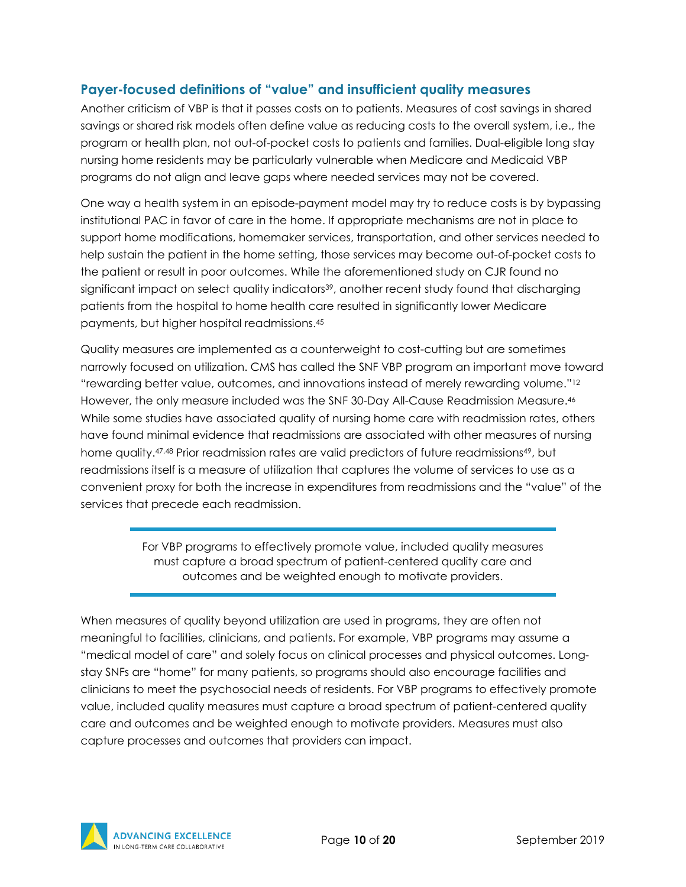#### <span id="page-10-0"></span>**Payer-focused definitions of "value" and insufficient quality measures**

Another criticism of VBP is that it passes costs on to patients. Measures of cost savings in shared savings or shared risk models often define value as reducing costs to the overall system, i.e., the program or health plan, not out-of-pocket costs to patients and families. Dual-eligible long stay nursing home residents may be particularly vulnerable when Medicare and Medicaid VBP programs do not align and leave gaps where needed services may not be covered.

One way a health system in an episode-payment model may try to reduce costs is by bypassing institutional PAC in favor of care in the home. If appropriate mechanisms are not in place to support home modifications, homemaker services, transportation, and other services needed to help sustain the patient in the home setting, those services may become out-of-pocket costs to the patient or result in poor outcomes. While the aforementioned study on CJR found no significant impact on select quality indicators<sup>39</sup>, another recent study found that discharging patients from the hospital to home health care resulted in significantly lower Medicare payments, but higher hospital readmissions.45

Quality measures are implemented as a counterweight to cost-cutting but are sometimes narrowly focused on utilization. CMS has called the SNF VBP program an important move toward "rewarding better value, outcomes, and innovations instead of merely rewarding volume."12 However, the only measure included was the SNF 30-Day All-Cause Readmission Measure.46 While some studies have associated quality of nursing home care with readmission rates, others have found minimal evidence that readmissions are associated with other measures of nursing home quality.<sup>47,48</sup> Prior readmission rates are valid predictors of future readmissions<sup>49</sup>, but readmissions itself is a measure of utilization that captures the volume of services to use as a convenient proxy for both the increase in expenditures from readmissions and the "value" of the services that precede each readmission.

> For VBP programs to effectively promote value, included quality measures must capture a broad spectrum of patient-centered quality care and outcomes and be weighted enough to motivate providers.

When measures of quality beyond utilization are used in programs, they are often not meaningful to facilities, clinicians, and patients. For example, VBP programs may assume a "medical model of care" and solely focus on clinical processes and physical outcomes. Longstay SNFs are "home" for many patients, so programs should also encourage facilities and clinicians to meet the psychosocial needs of residents. For VBP programs to effectively promote value, included quality measures must capture a broad spectrum of patient-centered quality care and outcomes and be weighted enough to motivate providers. Measures must also capture processes and outcomes that providers can impact.

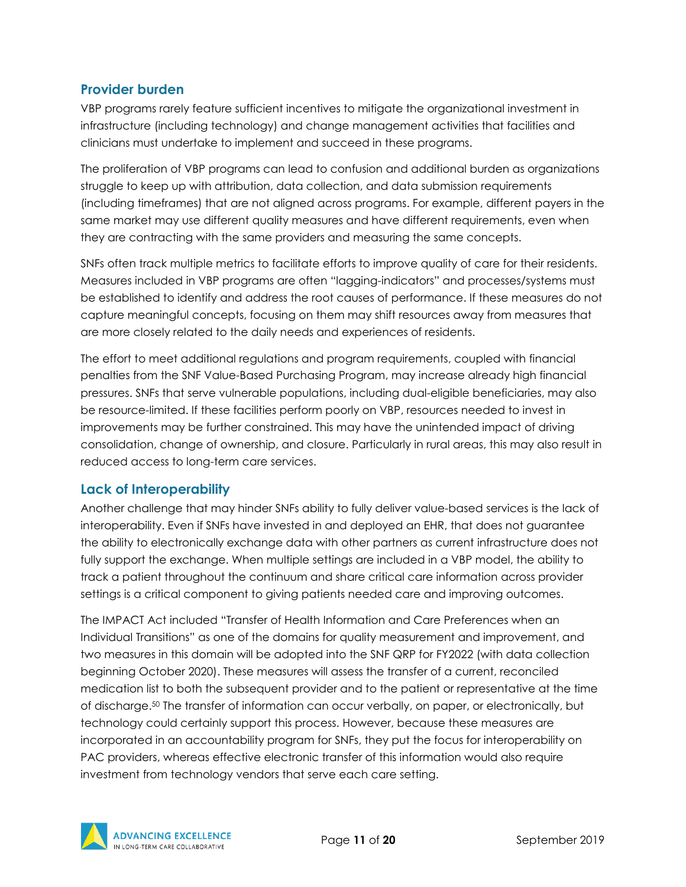#### <span id="page-11-0"></span>**Provider burden**

VBP programs rarely feature sufficient incentives to mitigate the organizational investment in infrastructure (including technology) and change management activities that facilities and clinicians must undertake to implement and succeed in these programs.

The proliferation of VBP programs can lead to confusion and additional burden as organizations struggle to keep up with attribution, data collection, and data submission requirements (including timeframes) that are not aligned across programs. For example, different payers in the same market may use different quality measures and have different requirements, even when they are contracting with the same providers and measuring the same concepts.

SNFs often track multiple metrics to facilitate efforts to improve quality of care for their residents. Measures included in VBP programs are often "lagging-indicators" and processes/systems must be established to identify and address the root causes of performance. If these measures do not capture meaningful concepts, focusing on them may shift resources away from measures that are more closely related to the daily needs and experiences of residents.

The effort to meet additional regulations and program requirements, coupled with financial penalties from the SNF Value-Based Purchasing Program, may increase already high financial pressures. SNFs that serve vulnerable populations, including dual-eligible beneficiaries, may also be resource-limited. If these facilities perform poorly on VBP, resources needed to invest in improvements may be further constrained. This may have the unintended impact of driving consolidation, change of ownership, and closure. Particularly in rural areas, this may also result in reduced access to long-term care services.

### <span id="page-11-1"></span>**Lack of Interoperability**

Another challenge that may hinder SNFs ability to fully deliver value-based services is the lack of interoperability. Even if SNFs have invested in and deployed an EHR, that does not guarantee the ability to electronically exchange data with other partners as current infrastructure does not fully support the exchange. When multiple settings are included in a VBP model, the ability to track a patient throughout the continuum and share critical care information across provider settings is a critical component to giving patients needed care and improving outcomes.

The IMPACT Act included "Transfer of Health Information and Care Preferences when an Individual Transitions" as one of the domains for quality measurement and improvement, and two measures in this domain will be adopted into the SNF QRP for FY2022 (with data collection beginning October 2020). These measures will assess the transfer of a current, reconciled medication list to both the subsequent provider and to the patient or representative at the time of discharge.50 The transfer of information can occur verbally, on paper, or electronically, but technology could certainly support this process. However, because these measures are incorporated in an accountability program for SNFs, they put the focus for interoperability on PAC providers, whereas effective electronic transfer of this information would also require investment from technology vendors that serve each care setting.

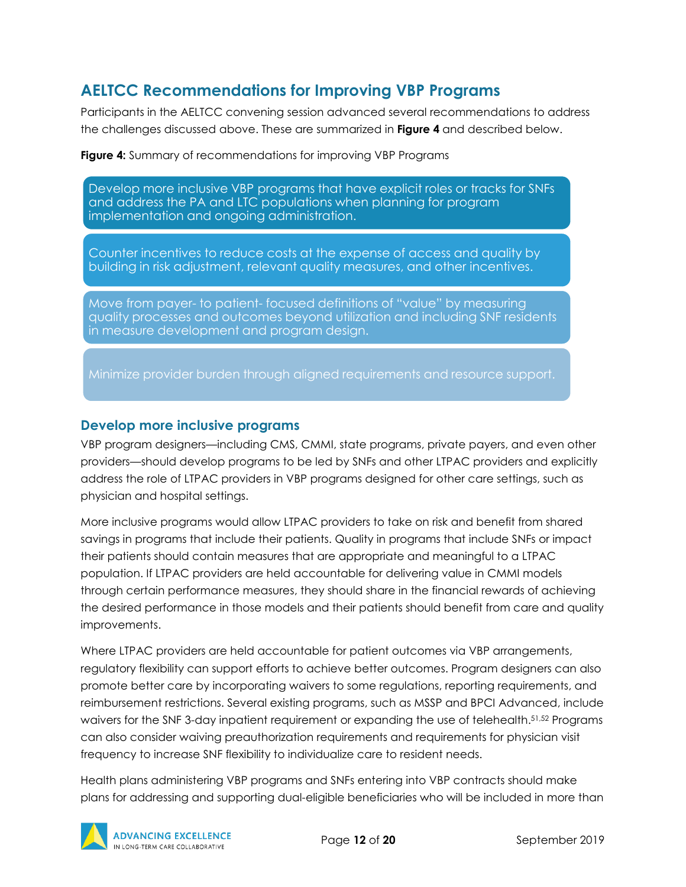## <span id="page-12-0"></span>**AELTCC Recommendations for Improving VBP Programs**

Participants in the AELTCC convening session advanced several recommendations to address the challenges discussed above. These are summarized in **Figure 4** and described below.

**Figure 4:** Summary of recommendations for improving VBP Programs

Develop more inclusive VBP programs that have explicit roles or tracks for SNFs and address the PA and LTC populations when planning for program implementation and ongoing administration.

Counter incentives to reduce costs at the expense of access and quality by building in risk adjustment, relevant quality measures, and other incentives.

Move from payer- to patient-focused definitions of "value" by measuring quality processes and outcomes beyond utilization and including SNF residents in measure development and program design.

Minimize provider burden through aligned requirements and resource support.

#### <span id="page-12-1"></span>**Develop more inclusive programs**

VBP program designers—including CMS, CMMI, state programs, private payers, and even other providers—should develop programs to be led by SNFs and other LTPAC providers and explicitly address the role of LTPAC providers in VBP programs designed for other care settings, such as physician and hospital settings.

More inclusive programs would allow LTPAC providers to take on risk and benefit from shared savings in programs that include their patients. Quality in programs that include SNFs or impact their patients should contain measures that are appropriate and meaningful to a LTPAC population. If LTPAC providers are held accountable for delivering value in CMMI models through certain performance measures, they should share in the financial rewards of achieving the desired performance in those models and their patients should benefit from care and quality improvements.

Where LTPAC providers are held accountable for patient outcomes via VBP arrangements, regulatory flexibility can support efforts to achieve better outcomes. Program designers can also promote better care by incorporating waivers to some regulations, reporting requirements, and reimbursement restrictions. Several existing programs, such as MSSP and BPCI Advanced, include waivers for the SNF 3-day inpatient requirement or expanding the use of telehealth.51,52 Programs can also consider waiving preauthorization requirements and requirements for physician visit frequency to increase SNF flexibility to individualize care to resident needs.

Health plans administering VBP programs and SNFs entering into VBP contracts should make plans for addressing and supporting dual-eligible beneficiaries who will be included in more than

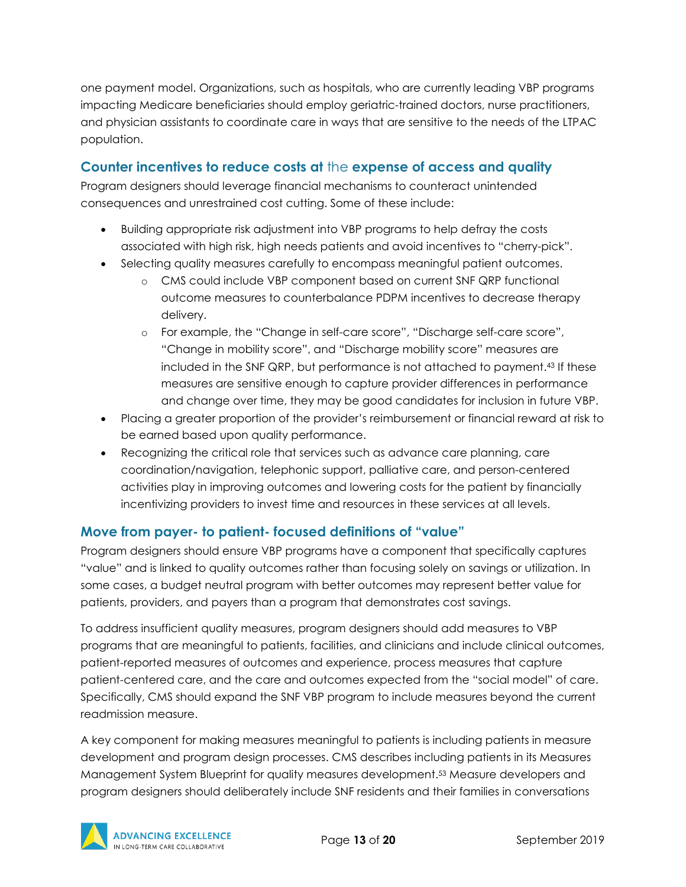one payment model. Organizations, such as hospitals, who are currently leading VBP programs impacting Medicare beneficiaries should employ geriatric-trained doctors, nurse practitioners, and physician assistants to coordinate care in ways that are sensitive to the needs of the LTPAC population.

#### <span id="page-13-0"></span>**Counter incentives to reduce costs at** the **expense of access and quality**

Program designers should leverage financial mechanisms to counteract unintended consequences and unrestrained cost cutting. Some of these include:

- Building appropriate risk adjustment into VBP programs to help defray the costs associated with high risk, high needs patients and avoid incentives to "cherry-pick".
- Selecting quality measures carefully to encompass meaningful patient outcomes.
	- o CMS could include VBP component based on current SNF QRP functional outcome measures to counterbalance PDPM incentives to decrease therapy delivery.
	- o For example, the "Change in self-care score", "Discharge self-care score", "Change in mobility score", and "Discharge mobility score" measures are included in the SNF QRP, but performance is not attached to payment.43 If these measures are sensitive enough to capture provider differences in performance and change over time, they may be good candidates for inclusion in future VBP.
- Placing a greater proportion of the provider's reimbursement or financial reward at risk to be earned based upon quality performance.
- Recognizing the critical role that services such as advance care planning, care coordination/navigation, telephonic support, palliative care, and person-centered activities play in improving outcomes and lowering costs for the patient by financially incentivizing providers to invest time and resources in these services at all levels.

#### <span id="page-13-1"></span>**Move from payer- to patient- focused definitions of "value"**

Program designers should ensure VBP programs have a component that specifically captures "value" and is linked to quality outcomes rather than focusing solely on savings or utilization. In some cases, a budget neutral program with better outcomes may represent better value for patients, providers, and payers than a program that demonstrates cost savings.

To address insufficient quality measures, program designers should add measures to VBP programs that are meaningful to patients, facilities, and clinicians and include clinical outcomes, patient-reported measures of outcomes and experience, process measures that capture patient-centered care, and the care and outcomes expected from the "social model" of care. Specifically, CMS should expand the SNF VBP program to include measures beyond the current readmission measure.

A key component for making measures meaningful to patients is including patients in measure development and program design processes. CMS describes including patients in its Measures Management System Blueprint for quality measures development.53 Measure developers and program designers should deliberately include SNF residents and their families in conversations

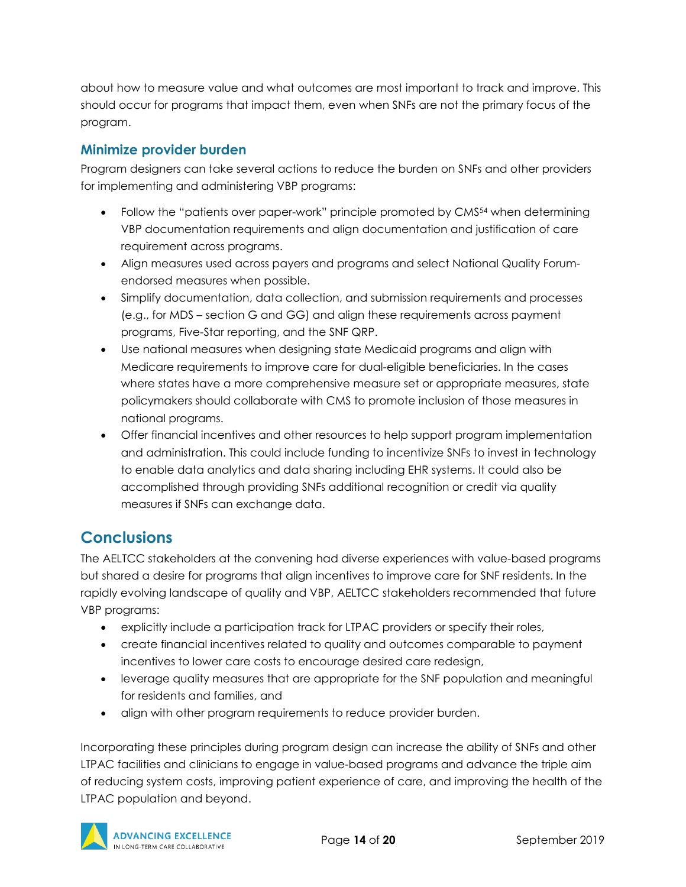about how to measure value and what outcomes are most important to track and improve. This should occur for programs that impact them, even when SNFs are not the primary focus of the program.

### <span id="page-14-0"></span>**Minimize provider burden**

Program designers can take several actions to reduce the burden on SNFs and other providers for implementing and administering VBP programs:

- Follow the "patients over paper-work" principle promoted by CMS<sup>54</sup> when determining VBP documentation requirements and align documentation and justification of care requirement across programs.
- Align measures used across payers and programs and select National Quality Forumendorsed measures when possible.
- Simplify documentation, data collection, and submission requirements and processes (e.g., for MDS – section G and GG) and align these requirements across payment programs, Five-Star reporting, and the SNF QRP.
- Use national measures when designing state Medicaid programs and align with Medicare requirements to improve care for dual-eligible beneficiaries. In the cases where states have a more comprehensive measure set or appropriate measures, state policymakers should collaborate with CMS to promote inclusion of those measures in national programs.
- Offer financial incentives and other resources to help support program implementation and administration. This could include funding to incentivize SNFs to invest in technology to enable data analytics and data sharing including EHR systems. It could also be accomplished through providing SNFs additional recognition or credit via quality measures if SNFs can exchange data.

## <span id="page-14-1"></span>**Conclusions**

The AELTCC stakeholders at the convening had diverse experiences with value-based programs but shared a desire for programs that align incentives to improve care for SNF residents. In the rapidly evolving landscape of quality and VBP, AELTCC stakeholders recommended that future VBP programs:

- explicitly include a participation track for LTPAC providers or specify their roles,
- create financial incentives related to quality and outcomes comparable to payment incentives to lower care costs to encourage desired care redesign,
- leverage quality measures that are appropriate for the SNF population and meaningful for residents and families, and
- align with other program requirements to reduce provider burden.

Incorporating these principles during program design can increase the ability of SNFs and other LTPAC facilities and clinicians to engage in value-based programs and advance the triple aim of reducing system costs, improving patient experience of care, and improving the health of the LTPAC population and beyond.

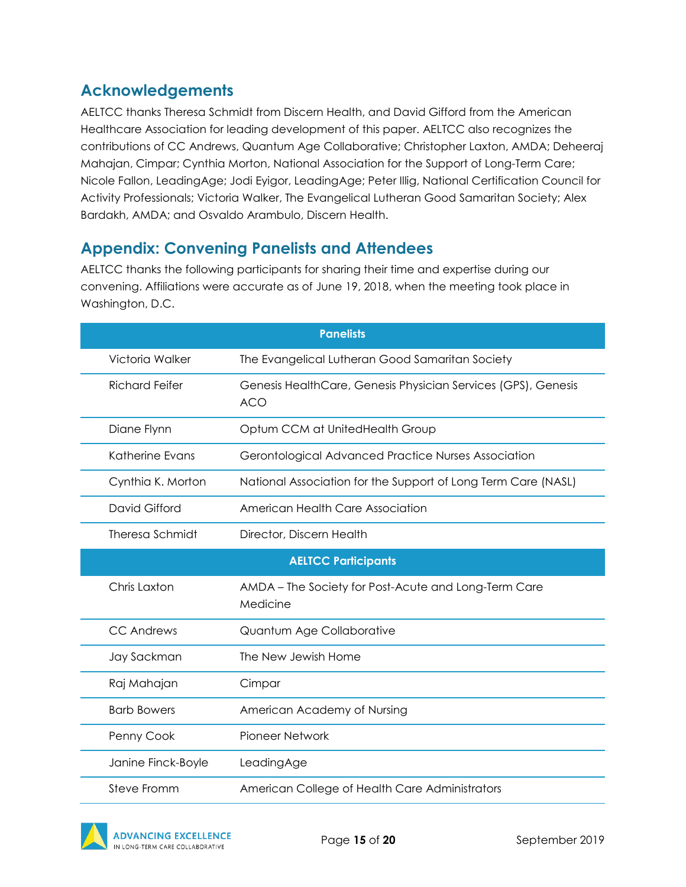## <span id="page-15-0"></span>**Acknowledgements**

AELTCC thanks Theresa Schmidt from Discern Health, and David Gifford from the American Healthcare Association for leading development of this paper. AELTCC also recognizes the contributions of CC Andrews, Quantum Age Collaborative; Christopher Laxton, AMDA; Deheeraj Mahajan, Cimpar; Cynthia Morton, National Association for the Support of Long-Term Care; Nicole Fallon, LeadingAge; Jodi Eyigor, LeadingAge; Peter Illig, National Certification Council for Activity Professionals; Victoria Walker, The Evangelical Lutheran Good Samaritan Society; Alex Bardakh, AMDA; and Osvaldo Arambulo, Discern Health.

## <span id="page-15-1"></span>**Appendix: Convening Panelists and Attendees**

AELTCC thanks the following participants for sharing their time and expertise during our convening. Affiliations were accurate as of June 19, 2018, when the meeting took place in Washington, D.C.

| <b>Panelists</b>           |                                                                             |  |
|----------------------------|-----------------------------------------------------------------------------|--|
| Victoria Walker            | The Evangelical Lutheran Good Samaritan Society                             |  |
| <b>Richard Feifer</b>      | Genesis HealthCare, Genesis Physician Services (GPS), Genesis<br><b>ACO</b> |  |
| Diane Flynn                | Optum CCM at UnitedHealth Group                                             |  |
| Katherine Evans            | Gerontological Advanced Practice Nurses Association                         |  |
| Cynthia K. Morton          | National Association for the Support of Long Term Care (NASL)               |  |
| David Gifford              | American Health Care Association                                            |  |
| Theresa Schmidt            | Director, Discern Health                                                    |  |
| <b>AELTCC Participants</b> |                                                                             |  |
|                            |                                                                             |  |
| Chris Laxton               | AMDA - The Society for Post-Acute and Long-Term Care<br>Medicine            |  |
| <b>CC Andrews</b>          | Quantum Age Collaborative                                                   |  |
| Jay Sackman                | The New Jewish Home                                                         |  |
| Raj Mahajan                | Cimpar                                                                      |  |
| <b>Barb Bowers</b>         | American Academy of Nursing                                                 |  |
| Penny Cook                 | <b>Pioneer Network</b>                                                      |  |
| Janine Finck-Boyle         | LeadingAge                                                                  |  |

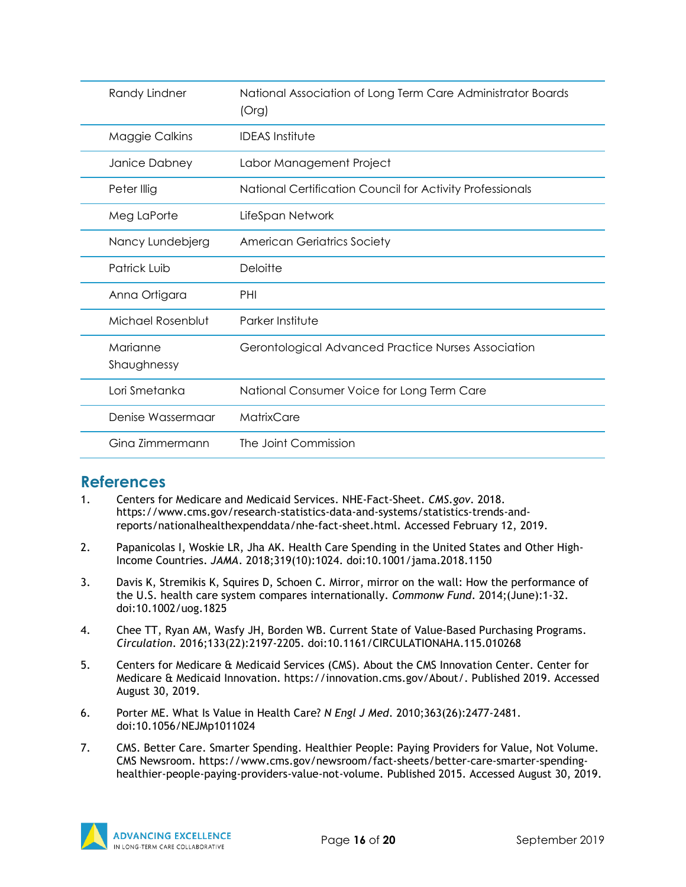| Randy Lindner           | National Association of Long Term Care Administrator Boards<br>(Org) |
|-------------------------|----------------------------------------------------------------------|
| Maggie Calkins          | <b>IDEAS</b> Institute                                               |
| Janice Dabney           | Labor Management Project                                             |
| Peter Illig             | National Certification Council for Activity Professionals            |
| Meg LaPorte             | LifeSpan Network                                                     |
| Nancy Lundebjerg        | <b>American Geriatrics Society</b>                                   |
| Patrick Luib            | Deloitte                                                             |
| Anna Ortigara           | PHI                                                                  |
| Michael Rosenblut       | Parker Institute                                                     |
| Marianne<br>Shaughnessy | Gerontological Advanced Practice Nurses Association                  |
| Lori Smetanka           | National Consumer Voice for Long Term Care                           |
| Denise Wassermaar       | MatrixCare                                                           |
| Gina Zimmermann         | The Joint Commission                                                 |

### <span id="page-16-0"></span>**References**

- 1. Centers for Medicare and Medicaid Services. NHE-Fact-Sheet. *CMS.gov*. 2018. https://www.cms.gov/research-statistics-data-and-systems/statistics-trends-andreports/nationalhealthexpenddata/nhe-fact-sheet.html. Accessed February 12, 2019.
- 2. Papanicolas I, Woskie LR, Jha AK. Health Care Spending in the United States and Other High-Income Countries. *JAMA*. 2018;319(10):1024. doi:10.1001/jama.2018.1150
- 3. Davis K, Stremikis K, Squires D, Schoen C. Mirror, mirror on the wall: How the performance of the U.S. health care system compares internationally. *Commonw Fund*. 2014;(June):1-32. doi:10.1002/uog.1825
- 4. Chee TT, Ryan AM, Wasfy JH, Borden WB. Current State of Value-Based Purchasing Programs. *Circulation*. 2016;133(22):2197-2205. doi:10.1161/CIRCULATIONAHA.115.010268
- 5. Centers for Medicare & Medicaid Services (CMS). About the CMS Innovation Center. Center for Medicare & Medicaid Innovation. https://innovation.cms.gov/About/. Published 2019. Accessed August 30, 2019.
- 6. Porter ME. What Is Value in Health Care? *N Engl J Med*. 2010;363(26):2477-2481. doi:10.1056/NEJMp1011024
- 7. CMS. Better Care. Smarter Spending. Healthier People: Paying Providers for Value, Not Volume. CMS Newsroom. https://www.cms.gov/newsroom/fact-sheets/better-care-smarter-spendinghealthier-people-paying-providers-value-not-volume. Published 2015. Accessed August 30, 2019.

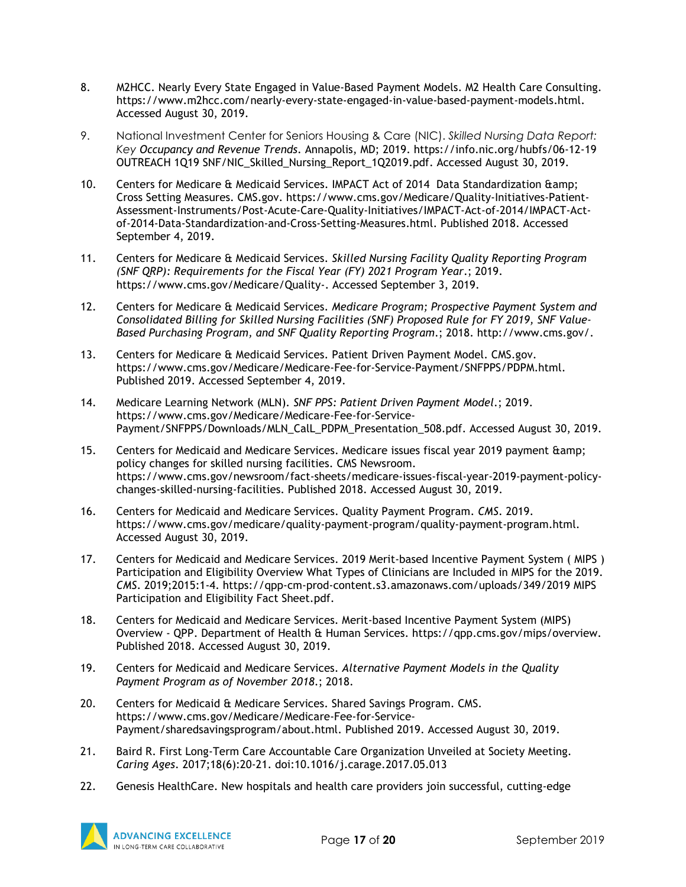- 8. M2HCC. Nearly Every State Engaged in Value-Based Payment Models. M2 Health Care Consulting. https://www.m2hcc.com/nearly-every-state-engaged-in-value-based-payment-models.html. Accessed August 30, 2019.
- 9. National Investment Center for Seniors Housing & Care (NIC). *Skilled Nursing Data Report: Key Occupancy and Revenue Trends*. Annapolis, MD; 2019. https://info.nic.org/hubfs/06-12-19 OUTREACH 1Q19 SNF/NIC\_Skilled\_Nursing\_Report\_1Q2019.pdf. Accessed August 30, 2019.
- 10. Centers for Medicare & Medicaid Services. IMPACT Act of 2014 Data Standardization & amp; Cross Setting Measures. CMS.gov. https://www.cms.gov/Medicare/Quality-Initiatives-Patient-Assessment-Instruments/Post-Acute-Care-Quality-Initiatives/IMPACT-Act-of-2014/IMPACT-Actof-2014-Data-Standardization-and-Cross-Setting-Measures.html. Published 2018. Accessed September 4, 2019.
- 11. Centers for Medicare & Medicaid Services. *Skilled Nursing Facility Quality Reporting Program (SNF QRP): Requirements for the Fiscal Year (FY) 2021 Program Year*.; 2019. https://www.cms.gov/Medicare/Quality-. Accessed September 3, 2019.
- 12. Centers for Medicare & Medicaid Services. *Medicare Program; Prospective Payment System and Consolidated Billing for Skilled Nursing Facilities (SNF) Proposed Rule for FY 2019, SNF Value-Based Purchasing Program, and SNF Quality Reporting Program*.; 2018. http://www.cms.gov/.
- 13. Centers for Medicare & Medicaid Services. Patient Driven Payment Model. CMS.gov. https://www.cms.gov/Medicare/Medicare-Fee-for-Service-Payment/SNFPPS/PDPM.html. Published 2019. Accessed September 4, 2019.
- 14. Medicare Learning Network (MLN). *SNF PPS: Patient Driven Payment Model*.; 2019. https://www.cms.gov/Medicare/Medicare-Fee-for-Service-Payment/SNFPPS/Downloads/MLN\_CalL\_PDPM\_Presentation\_508.pdf. Accessed August 30, 2019.
- 15. Centers for Medicaid and Medicare Services. Medicare issues fiscal year 2019 payment & policy changes for skilled nursing facilities. CMS Newsroom. https://www.cms.gov/newsroom/fact-sheets/medicare-issues-fiscal-year-2019-payment-policychanges-skilled-nursing-facilities. Published 2018. Accessed August 30, 2019.
- 16. Centers for Medicaid and Medicare Services. Quality Payment Program. *CMS*. 2019. https://www.cms.gov/medicare/quality-payment-program/quality-payment-program.html. Accessed August 30, 2019.
- 17. Centers for Medicaid and Medicare Services. 2019 Merit-based Incentive Payment System ( MIPS ) Participation and Eligibility Overview What Types of Clinicians are Included in MIPS for the 2019. *CMS*. 2019;2015:1-4. https://qpp-cm-prod-content.s3.amazonaws.com/uploads/349/2019 MIPS Participation and Eligibility Fact Sheet.pdf.
- 18. Centers for Medicaid and Medicare Services. Merit-based Incentive Payment System (MIPS) Overview - QPP. Department of Health & Human Services. https://qpp.cms.gov/mips/overview. Published 2018. Accessed August 30, 2019.
- 19. Centers for Medicaid and Medicare Services. *Alternative Payment Models in the Quality Payment Program as of November 2018*.; 2018.
- 20. Centers for Medicaid & Medicare Services. Shared Savings Program. CMS. https://www.cms.gov/Medicare/Medicare-Fee-for-Service-Payment/sharedsavingsprogram/about.html. Published 2019. Accessed August 30, 2019.
- 21. Baird R. First Long-Term Care Accountable Care Organization Unveiled at Society Meeting. *Caring Ages*. 2017;18(6):20-21. doi:10.1016/j.carage.2017.05.013
- 22. Genesis HealthCare. New hospitals and health care providers join successful, cutting-edge

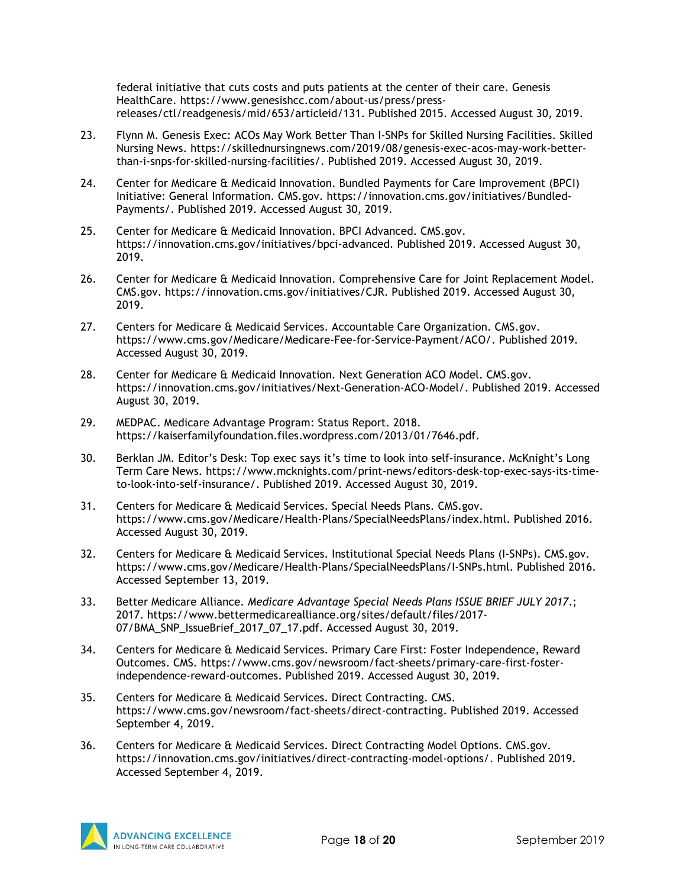federal initiative that cuts costs and puts patients at the center of their care. Genesis HealthCare. https://www.genesishcc.com/about-us/press/pressreleases/ctl/readgenesis/mid/653/articleid/131. Published 2015. Accessed August 30, 2019.

- 23. Flynn M. Genesis Exec: ACOs May Work Better Than I-SNPs for Skilled Nursing Facilities. Skilled Nursing News. https://skillednursingnews.com/2019/08/genesis-exec-acos-may-work-betterthan-i-snps-for-skilled-nursing-facilities/. Published 2019. Accessed August 30, 2019.
- 24. Center for Medicare & Medicaid Innovation. Bundled Payments for Care Improvement (BPCI) Initiative: General Information. CMS.gov. https://innovation.cms.gov/initiatives/Bundled-Payments/. Published 2019. Accessed August 30, 2019.
- 25. Center for Medicare & Medicaid Innovation. BPCI Advanced. CMS.gov. https://innovation.cms.gov/initiatives/bpci-advanced. Published 2019. Accessed August 30, 2019.
- 26. Center for Medicare & Medicaid Innovation. Comprehensive Care for Joint Replacement Model. CMS.gov. https://innovation.cms.gov/initiatives/CJR. Published 2019. Accessed August 30, 2019.
- 27. Centers for Medicare & Medicaid Services. Accountable Care Organization. CMS.gov. https://www.cms.gov/Medicare/Medicare-Fee-for-Service-Payment/ACO/. Published 2019. Accessed August 30, 2019.
- 28. Center for Medicare & Medicaid Innovation. Next Generation ACO Model. CMS.gov. https://innovation.cms.gov/initiatives/Next-Generation-ACO-Model/. Published 2019. Accessed August 30, 2019.
- 29. MEDPAC. Medicare Advantage Program: Status Report. 2018. https://kaiserfamilyfoundation.files.wordpress.com/2013/01/7646.pdf.
- 30. Berklan JM. Editor's Desk: Top exec says it's time to look into self-insurance. McKnight's Long Term Care News. https://www.mcknights.com/print-news/editors-desk-top-exec-says-its-timeto-look-into-self-insurance/. Published 2019. Accessed August 30, 2019.
- 31. Centers for Medicare & Medicaid Services. Special Needs Plans. CMS.gov. https://www.cms.gov/Medicare/Health-Plans/SpecialNeedsPlans/index.html. Published 2016. Accessed August 30, 2019.
- 32. Centers for Medicare & Medicaid Services. Institutional Special Needs Plans (I-SNPs). CMS.gov. https://www.cms.gov/Medicare/Health-Plans/SpecialNeedsPlans/I-SNPs.html. Published 2016. Accessed September 13, 2019.
- 33. Better Medicare Alliance. *Medicare Advantage Special Needs Plans ISSUE BRIEF JULY 2017*.; 2017. https://www.bettermedicarealliance.org/sites/default/files/2017- 07/BMA\_SNP\_IssueBrief\_2017\_07\_17.pdf. Accessed August 30, 2019.
- 34. Centers for Medicare & Medicaid Services. Primary Care First: Foster Independence, Reward Outcomes. CMS. https://www.cms.gov/newsroom/fact-sheets/primary-care-first-fosterindependence-reward-outcomes. Published 2019. Accessed August 30, 2019.
- 35. Centers for Medicare & Medicaid Services. Direct Contracting. CMS. https://www.cms.gov/newsroom/fact-sheets/direct-contracting. Published 2019. Accessed September 4, 2019.
- 36. Centers for Medicare & Medicaid Services. Direct Contracting Model Options. CMS.gov. https://innovation.cms.gov/initiatives/direct-contracting-model-options/. Published 2019. Accessed September 4, 2019.

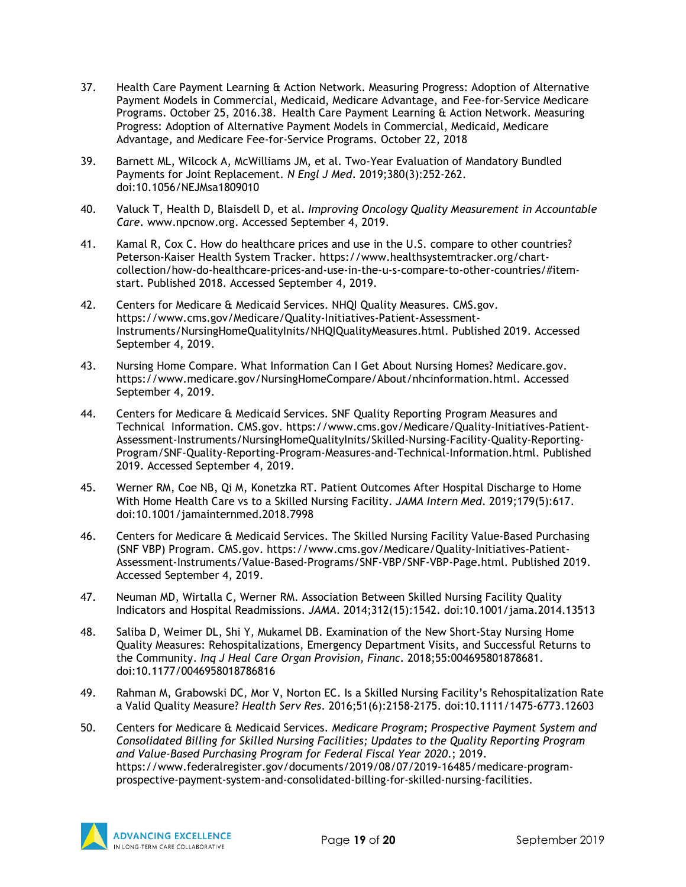- 37. Health Care Payment Learning & Action Network. Measuring Progress: Adoption of Alternative Payment Models in Commercial, Medicaid, Medicare Advantage, and Fee-for-Service Medicare Programs. October 25, 2016.38. Health Care Payment Learning & Action Network. Measuring Progress: Adoption of Alternative Payment Models in Commercial, Medicaid, Medicare Advantage, and Medicare Fee-for-Service Programs. October 22, 2018
- 39. Barnett ML, Wilcock A, McWilliams JM, et al. Two-Year Evaluation of Mandatory Bundled Payments for Joint Replacement. *N Engl J Med*. 2019;380(3):252-262. doi:10.1056/NEJMsa1809010
- 40. Valuck T, Health D, Blaisdell D, et al. *Improving Oncology Quality Measurement in Accountable Care*. www.npcnow.org. Accessed September 4, 2019.
- 41. Kamal R, Cox C. How do healthcare prices and use in the U.S. compare to other countries? Peterson-Kaiser Health System Tracker. https://www.healthsystemtracker.org/chartcollection/how-do-healthcare-prices-and-use-in-the-u-s-compare-to-other-countries/#itemstart. Published 2018. Accessed September 4, 2019.
- 42. Centers for Medicare & Medicaid Services. NHQI Quality Measures. CMS.gov. https://www.cms.gov/Medicare/Quality-Initiatives-Patient-Assessment-Instruments/NursingHomeQualityInits/NHQIQualityMeasures.html. Published 2019. Accessed September 4, 2019.
- 43. Nursing Home Compare. What Information Can I Get About Nursing Homes? Medicare.gov. https://www.medicare.gov/NursingHomeCompare/About/nhcinformation.html. Accessed September 4, 2019.
- 44. Centers for Medicare & Medicaid Services. SNF Quality Reporting Program Measures and Technical Information. CMS.gov. https://www.cms.gov/Medicare/Quality-Initiatives-Patient-Assessment-Instruments/NursingHomeQualityInits/Skilled-Nursing-Facility-Quality-Reporting-Program/SNF-Quality-Reporting-Program-Measures-and-Technical-Information.html. Published 2019. Accessed September 4, 2019.
- 45. Werner RM, Coe NB, Qi M, Konetzka RT. Patient Outcomes After Hospital Discharge to Home With Home Health Care vs to a Skilled Nursing Facility. *JAMA Intern Med*. 2019;179(5):617. doi:10.1001/jamainternmed.2018.7998
- 46. Centers for Medicare & Medicaid Services. The Skilled Nursing Facility Value-Based Purchasing (SNF VBP) Program. CMS.gov. https://www.cms.gov/Medicare/Quality-Initiatives-Patient-Assessment-Instruments/Value-Based-Programs/SNF-VBP/SNF-VBP-Page.html. Published 2019. Accessed September 4, 2019.
- 47. Neuman MD, Wirtalla C, Werner RM. Association Between Skilled Nursing Facility Quality Indicators and Hospital Readmissions. *JAMA*. 2014;312(15):1542. doi:10.1001/jama.2014.13513
- 48. Saliba D, Weimer DL, Shi Y, Mukamel DB. Examination of the New Short-Stay Nursing Home Quality Measures: Rehospitalizations, Emergency Department Visits, and Successful Returns to the Community. *Inq J Heal Care Organ Provision, Financ*. 2018;55:004695801878681. doi:10.1177/0046958018786816
- 49. Rahman M, Grabowski DC, Mor V, Norton EC. Is a Skilled Nursing Facility's Rehospitalization Rate a Valid Quality Measure? *Health Serv Res*. 2016;51(6):2158-2175. doi:10.1111/1475-6773.12603
- 50. Centers for Medicare & Medicaid Services. *Medicare Program; Prospective Payment System and Consolidated Billing for Skilled Nursing Facilities; Updates to the Quality Reporting Program and Value-Based Purchasing Program for Federal Fiscal Year 2020*.; 2019. https://www.federalregister.gov/documents/2019/08/07/2019-16485/medicare-programprospective-payment-system-and-consolidated-billing-for-skilled-nursing-facilities.